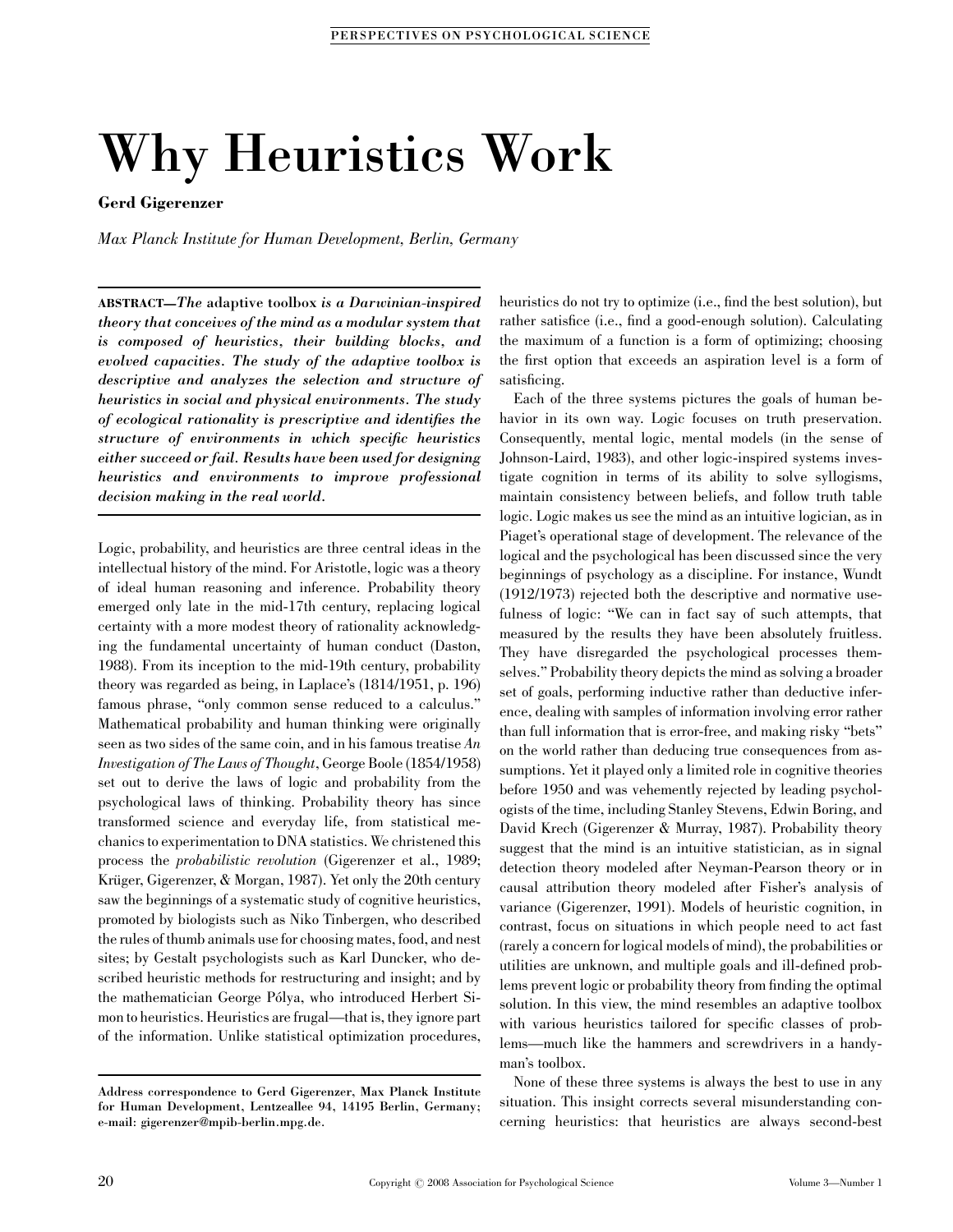# Why Heuristics Work

# Gerd Gigerenzer

Max Planck Institute for Human Development, Berlin, Germany

ABSTRACT—The adaptive toolbox is a Darwinian-inspired theory that conceives of the mind as a modular system that is composed of heuristics, their building blocks, and evolved capacities. The study of the adaptive toolbox is descriptive and analyzes the selection and structure of heuristics in social and physical environments. The study of ecological rationality is prescriptive and identifies the structure of environments in which specific heuristics either succeed or fail. Results have been used for designing heuristics and environments to improve professional decision making in the real world.

Logic, probability, and heuristics are three central ideas in the intellectual history of the mind. For Aristotle, logic was a theory of ideal human reasoning and inference. Probability theory emerged only late in the mid-17th century, replacing logical certainty with a more modest theory of rationality acknowledging the fundamental uncertainty of human conduct (Daston, 1988). From its inception to the mid-19th century, probability theory was regarded as being, in Laplace's (1814/1951, p. 196) famous phrase, "only common sense reduced to a calculus." Mathematical probability and human thinking were originally seen as two sides of the same coin, and in his famous treatise An Investigation of The Laws of Thought, George Boole (1854/1958) set out to derive the laws of logic and probability from the psychological laws of thinking. Probability theory has since transformed science and everyday life, from statistical mechanicsto experimentation to DNA statistics. We christened this process the probabilistic revolution (Gigerenzer et al., 1989; Krüger, Gigerenzer, & Morgan, 1987). Yet only the 20th century saw the beginnings of a systematic study of cognitive heuristics, promoted by biologists such as Niko Tinbergen, who described the rules of thumb animals use for choosing mates, food, and nest sites; by Gestalt psychologists such as Karl Duncker, who described heuristic methods for restructuring and insight; and by the mathematician George Pólya, who introduced Herbert Simon to heuristics. Heuristics are frugal—that is, they ignore part of the information. Unlike statistical optimization procedures, heuristics do not try to optimize (i.e., find the best solution), but rather satisfice (i.e., find a good-enough solution). Calculating the maximum of a function is a form of optimizing; choosing the first option that exceeds an aspiration level is a form of satisficing.

Each of the three systems pictures the goals of human behavior in its own way. Logic focuses on truth preservation. Consequently, mental logic, mental models (in the sense of Johnson-Laird, 1983), and other logic-inspired systems investigate cognition in terms of its ability to solve syllogisms, maintain consistency between beliefs, and follow truth table logic. Logic makes us see the mind as an intuitive logician, as in Piaget's operational stage of development. The relevance of the logical and the psychological has been discussed since the very beginnings of psychology as a discipline. For instance, Wundt (1912/1973) rejected both the descriptive and normative usefulness of logic: ''We can in fact say of such attempts, that measured by the results they have been absolutely fruitless. They have disregarded the psychological processes themselves." Probability theory depicts the mind as solving a broader set of goals, performing inductive rather than deductive inference, dealing with samples of information involving error rather than full information that is error-free, and making risky ''bets'' on the world rather than deducing true consequences from assumptions. Yet it played only a limited role in cognitive theories before 1950 and was vehemently rejected by leading psychologists of the time, including Stanley Stevens, Edwin Boring, and David Krech (Gigerenzer & Murray, 1987). Probability theory suggest that the mind is an intuitive statistician, as in signal detection theory modeled after Neyman-Pearson theory or in causal attribution theory modeled after Fisher's analysis of variance (Gigerenzer, 1991). Models of heuristic cognition, in contrast, focus on situations in which people need to act fast (rarely a concern for logical models of mind), the probabilities or utilities are unknown, and multiple goals and ill-defined problems prevent logic or probability theory from finding the optimal solution. In this view, the mind resembles an adaptive toolbox with various heuristics tailored for specific classes of problems—much like the hammers and screwdrivers in a handyman's toolbox.

None of these three systems is always the best to use in any situation. This insight corrects several misunderstanding concerning heuristics: that heuristics are always second-best

Address correspondence to Gerd Gigerenzer, Max Planck Institute for Human Development, Lentzeallee 94, 14195 Berlin, Germany; e-mail: gigerenzer@mpib-berlin.mpg.de.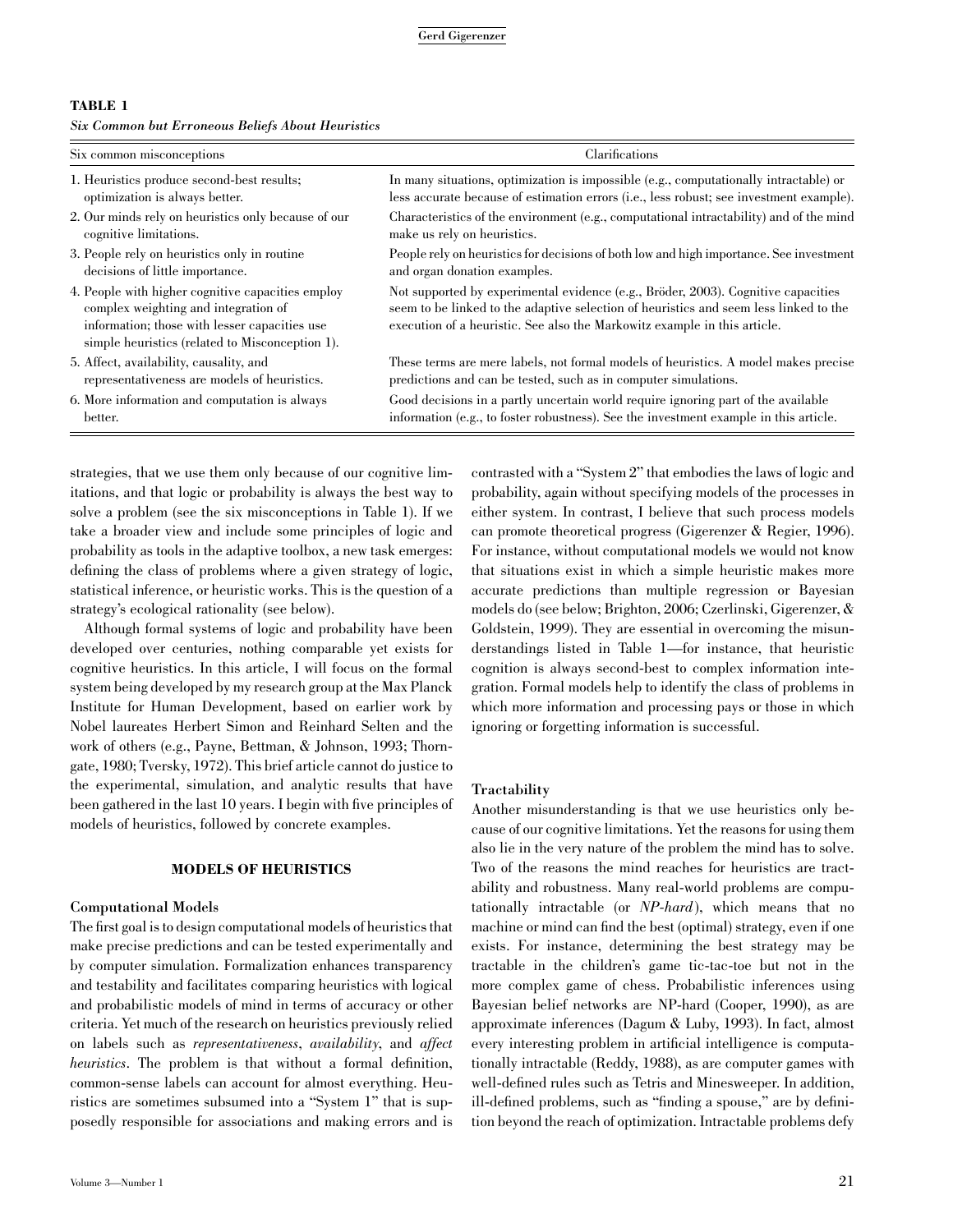#### TABLE 1

|  | Six Common but Erroneous Beliefs About Heuristics |  |  |
|--|---------------------------------------------------|--|--|
|  |                                                   |  |  |

| Six common misconceptions                                                                                                                                                                     | Clarifications                                                                                                                                                                                                                                          |
|-----------------------------------------------------------------------------------------------------------------------------------------------------------------------------------------------|---------------------------------------------------------------------------------------------------------------------------------------------------------------------------------------------------------------------------------------------------------|
| 1. Heuristics produce second-best results;                                                                                                                                                    | In many situations, optimization is impossible (e.g., computationally intractable) or                                                                                                                                                                   |
| optimization is always better.                                                                                                                                                                | less accurate because of estimation errors (i.e., less robust; see investment example).                                                                                                                                                                 |
| 2. Our minds rely on heuristics only because of our                                                                                                                                           | Characteristics of the environment (e.g., computational intractability) and of the mind                                                                                                                                                                 |
| cognitive limitations.                                                                                                                                                                        | make us rely on heuristics.                                                                                                                                                                                                                             |
| 3. People rely on heuristics only in routine                                                                                                                                                  | People rely on heuristics for decisions of both low and high importance. See investment                                                                                                                                                                 |
| decisions of little importance.                                                                                                                                                               | and organ donation examples.                                                                                                                                                                                                                            |
| 4. People with higher cognitive capacities employ<br>complex weighting and integration of<br>information; those with lesser capacities use<br>simple heuristics (related to Misconception 1). | Not supported by experimental evidence (e.g., Bröder, 2003). Cognitive capacities<br>seem to be linked to the adaptive selection of heuristics and seem less linked to the<br>execution of a heuristic. See also the Markowitz example in this article. |
| 5. Affect, availability, causality, and                                                                                                                                                       | These terms are mere labels, not formal models of heuristics. A model makes precise                                                                                                                                                                     |
| representativeness are models of heuristics.                                                                                                                                                  | predictions and can be tested, such as in computer simulations.                                                                                                                                                                                         |
| 6. More information and computation is always                                                                                                                                                 | Good decisions in a partly uncertain world require ignoring part of the available                                                                                                                                                                       |
| better.                                                                                                                                                                                       | information (e.g., to foster robustness). See the investment example in this article.                                                                                                                                                                   |

strategies, that we use them only because of our cognitive limitations, and that logic or probability is always the best way to solve a problem (see the six misconceptions in Table 1). If we take a broader view and include some principles of logic and probability as tools in the adaptive toolbox, a new task emerges: defining the class of problems where a given strategy of logic, statistical inference, or heuristic works. This is the question of a strategy's ecological rationality (see below).

Although formal systems of logic and probability have been developed over centuries, nothing comparable yet exists for cognitive heuristics. In this article, I will focus on the formal system being developed by my research group at the Max Planck Institute for Human Development, based on earlier work by Nobel laureates Herbert Simon and Reinhard Selten and the work of others (e.g., Payne, Bettman, & Johnson, 1993; Thorngate, 1980; Tversky, 1972). This brief article cannot do justice to the experimental, simulation, and analytic results that have been gathered in the last 10 years. I begin with five principles of models of heuristics, followed by concrete examples.

## MODELS OF HEURISTICS

## Computational Models

The first goal isto design computational models of heuristicsthat make precise predictions and can be tested experimentally and by computer simulation. Formalization enhances transparency and testability and facilitates comparing heuristics with logical and probabilistic models of mind in terms of accuracy or other criteria. Yet much of the research on heuristics previously relied on labels such as representativeness, availability, and affect heuristics. The problem is that without a formal definition, common-sense labels can account for almost everything. Heuristics are sometimes subsumed into a ''System 1'' that is supposedly responsible for associations and making errors and is contrasted with a "System 2" that embodies the laws of logic and probability, again without specifying models of the processes in either system. In contrast, I believe that such process models can promote theoretical progress (Gigerenzer & Regier, 1996). For instance, without computational models we would not know that situations exist in which a simple heuristic makes more accurate predictions than multiple regression or Bayesian models do (see below; Brighton, 2006; Czerlinski, Gigerenzer, & Goldstein, 1999). They are essential in overcoming the misunderstandings listed in Table 1—for instance, that heuristic cognition is always second-best to complex information integration. Formal models help to identify the class of problems in which more information and processing pays or those in which ignoring or forgetting information is successful.

#### Tractability

Another misunderstanding is that we use heuristics only because of our cognitive limitations. Yet the reasonsfor using them also lie in the very nature of the problem the mind has to solve. Two of the reasons the mind reaches for heuristics are tractability and robustness. Many real-world problems are computationally intractable (or NP-hard ), which means that no machine or mind can find the best (optimal) strategy, even if one exists. For instance, determining the best strategy may be tractable in the children's game tic-tac-toe but not in the more complex game of chess. Probabilistic inferences using Bayesian belief networks are NP-hard (Cooper, 1990), as are approximate inferences (Dagum & Luby, 1993). In fact, almost every interesting problem in artificial intelligence is computationally intractable (Reddy, 1988), as are computer games with well-defined rules such as Tetris and Minesweeper. In addition, ill-defined problems, such as ''finding a spouse,'' are by definition beyond the reach of optimization. Intractable problems defy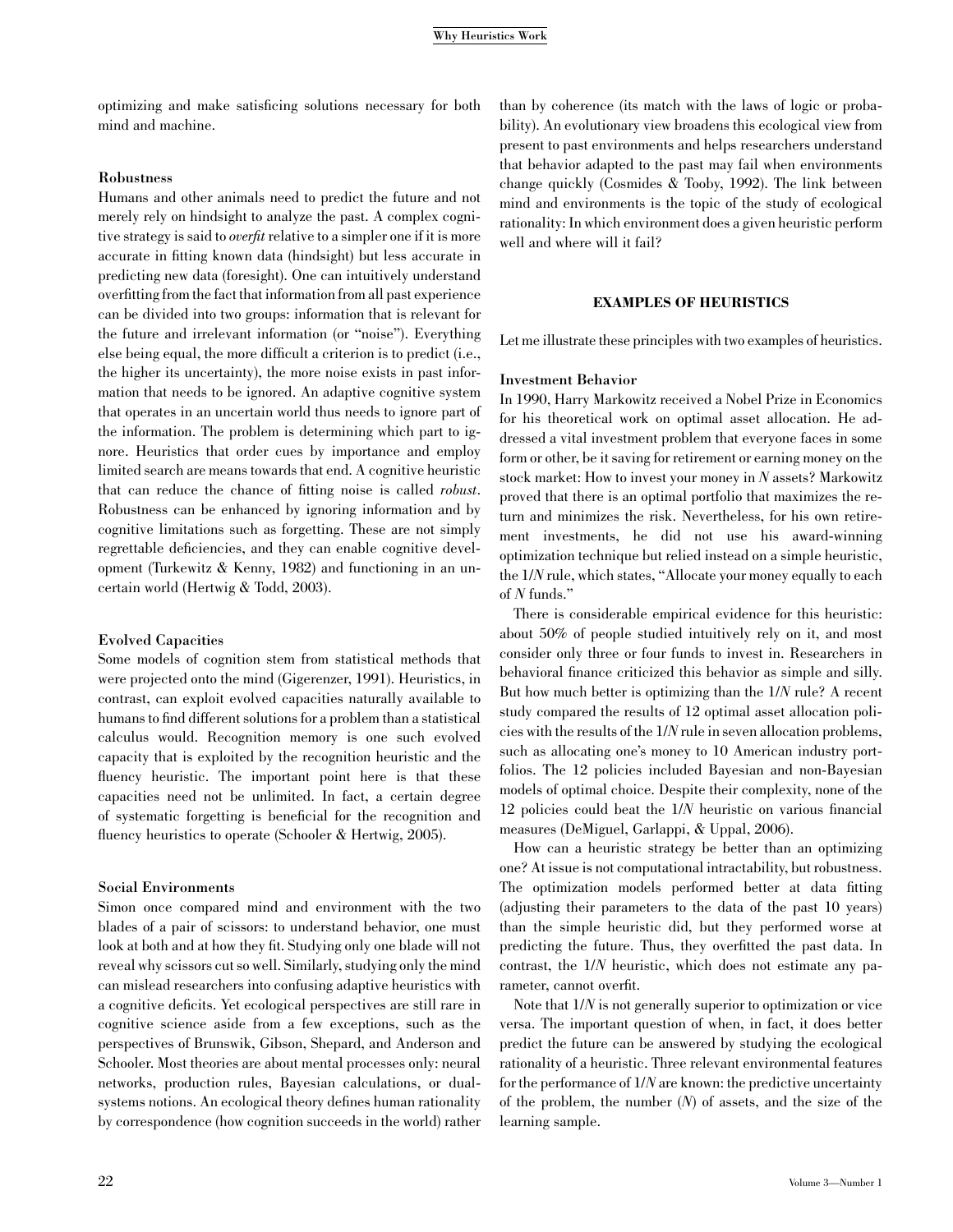optimizing and make satisficing solutions necessary for both mind and machine.

# Robustness

Humans and other animals need to predict the future and not merely rely on hindsight to analyze the past. A complex cognitive strategy is said to *overfit* relative to a simpler one if it is more accurate in fitting known data (hindsight) but less accurate in predicting new data (foresight). One can intuitively understand overfitting from the fact that information from all past experience can be divided into two groups: information that is relevant for the future and irrelevant information (or ''noise''). Everything else being equal, the more difficult a criterion is to predict (i.e., the higher its uncertainty), the more noise exists in past information that needs to be ignored. An adaptive cognitive system that operates in an uncertain world thus needs to ignore part of the information. The problem is determining which part to ignore. Heuristics that order cues by importance and employ limited search are means towards that end. A cognitive heuristic that can reduce the chance of fitting noise is called robust. Robustness can be enhanced by ignoring information and by cognitive limitations such as forgetting. These are not simply regrettable deficiencies, and they can enable cognitive development (Turkewitz & Kenny, 1982) and functioning in an uncertain world (Hertwig & Todd, 2003).

## Evolved Capacities

Some models of cognition stem from statistical methods that were projected onto the mind (Gigerenzer, 1991). Heuristics, in contrast, can exploit evolved capacities naturally available to humans to find different solutions for a problem than a statistical calculus would. Recognition memory is one such evolved capacity that is exploited by the recognition heuristic and the fluency heuristic. The important point here is that these capacities need not be unlimited. In fact, a certain degree of systematic forgetting is beneficial for the recognition and fluency heuristics to operate (Schooler & Hertwig, 2005).

## Social Environments

Simon once compared mind and environment with the two blades of a pair of scissors: to understand behavior, one must look at both and at how they fit. Studying only one blade will not reveal why scissors cut so well. Similarly, studying only the mind can mislead researchers into confusing adaptive heuristics with a cognitive deficits. Yet ecological perspectives are still rare in cognitive science aside from a few exceptions, such as the perspectives of Brunswik, Gibson, Shepard, and Anderson and Schooler. Most theories are about mental processes only: neural networks, production rules, Bayesian calculations, or dualsystems notions. An ecological theory defines human rationality by correspondence (how cognition succeeds in the world) rather than by coherence (its match with the laws of logic or probability). An evolutionary view broadens this ecological view from present to past environments and helps researchers understand that behavior adapted to the past may fail when environments change quickly (Cosmides & Tooby, 1992). The link between mind and environments is the topic of the study of ecological rationality: In which environment does a given heuristic perform well and where will it fail?

## EXAMPLES OF HEURISTICS

Let me illustrate these principles with two examples of heuristics.

## Investment Behavior

In 1990, Harry Markowitz received a Nobel Prize in Economics for his theoretical work on optimal asset allocation. He addressed a vital investment problem that everyone faces in some form or other, be it saving for retirement or earning money on the stock market: How to invest your money in  $N$  assets? Markowitz proved that there is an optimal portfolio that maximizes the return and minimizes the risk. Nevertheless, for his own retirement investments, he did not use his award-winning optimization technique but relied instead on a simple heuristic, the 1/N rule, which states, ''Allocate your money equally to each of N funds.''

There is considerable empirical evidence for this heuristic: about 50% of people studied intuitively rely on it, and most consider only three or four funds to invest in. Researchers in behavioral finance criticized this behavior as simple and silly. But how much better is optimizing than the 1/N rule? A recent study compared the results of 12 optimal asset allocation policies with the results of the 1/N rule in seven allocation problems, such as allocating one's money to 10 American industry portfolios. The 12 policies included Bayesian and non-Bayesian models of optimal choice. Despite their complexity, none of the 12 policies could beat the 1/N heuristic on various financial measures (DeMiguel, Garlappi, & Uppal, 2006).

How can a heuristic strategy be better than an optimizing one? At issue is not computational intractability, but robustness. The optimization models performed better at data fitting (adjusting their parameters to the data of the past 10 years) than the simple heuristic did, but they performed worse at predicting the future. Thus, they overfitted the past data. In contrast, the 1/N heuristic, which does not estimate any parameter, cannot overfit.

Note that 1/N is not generally superior to optimization or vice versa. The important question of when, in fact, it does better predict the future can be answered by studying the ecological rationality of a heuristic. Three relevant environmental features for the performance of 1/N are known: the predictive uncertainty of the problem, the number  $(N)$  of assets, and the size of the learning sample.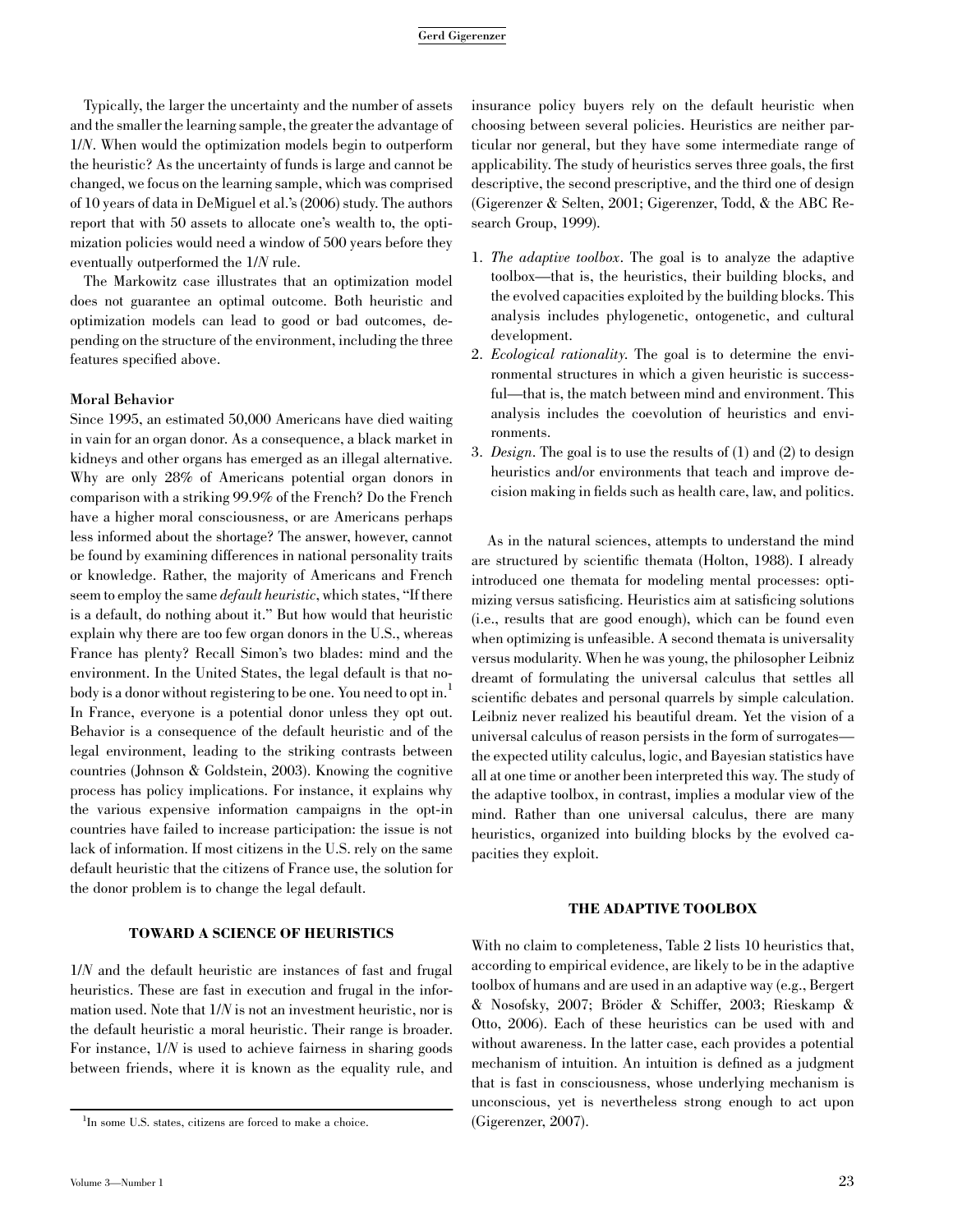## Gerd Gigerenzer

Typically, the larger the uncertainty and the number of assets and the smaller the learning sample, the greater the advantage of 1/N. When would the optimization models begin to outperform the heuristic? As the uncertainty of funds is large and cannot be changed, we focus on the learning sample, which was comprised of 10 years of data in DeMiguel et al.'s (2006) study. The authors report that with 50 assets to allocate one's wealth to, the optimization policies would need a window of 500 years before they eventually outperformed the 1/N rule.

The Markowitz case illustrates that an optimization model does not guarantee an optimal outcome. Both heuristic and optimization models can lead to good or bad outcomes, depending on the structure of the environment, including the three features specified above.

## Moral Behavior

Since 1995, an estimated 50,000 Americans have died waiting in vain for an organ donor. As a consequence, a black market in kidneys and other organs has emerged as an illegal alternative. Why are only 28% of Americans potential organ donors in comparison with a striking 99.9% of the French? Do the French have a higher moral consciousness, or are Americans perhaps less informed about the shortage? The answer, however, cannot be found by examining differences in national personality traits or knowledge. Rather, the majority of Americans and French seem to employ the same *default heuristic*, which states, "If there is a default, do nothing about it.'' But how would that heuristic explain why there are too few organ donors in the U.S., whereas France has plenty? Recall Simon's two blades: mind and the environment. In the United States, the legal default is that nobody is a donor without registering to be one. You need to opt in.<sup>1</sup> In France, everyone is a potential donor unless they opt out. Behavior is a consequence of the default heuristic and of the legal environment, leading to the striking contrasts between countries (Johnson & Goldstein, 2003). Knowing the cognitive process has policy implications. For instance, it explains why the various expensive information campaigns in the opt-in countries have failed to increase participation: the issue is not lack of information. If most citizens in the U.S. rely on the same default heuristic that the citizens of France use, the solution for the donor problem is to change the legal default.

# TOWARD A SCIENCE OF HEURISTICS

1/N and the default heuristic are instances of fast and frugal heuristics. These are fast in execution and frugal in the information used. Note that 1/N is not an investment heuristic, nor is the default heuristic a moral heuristic. Their range is broader. For instance, 1/N is used to achieve fairness in sharing goods between friends, where it is known as the equality rule, and

- 1. The adaptive toolbox. The goal is to analyze the adaptive toolbox—that is, the heuristics, their building blocks, and the evolved capacities exploited by the building blocks. This analysis includes phylogenetic, ontogenetic, and cultural development.
- 2. Ecological rationality. The goal is to determine the environmental structures in which a given heuristic is successful—that is, the match between mind and environment. This analysis includes the coevolution of heuristics and environments.
- 3. Design. The goal is to use the results of (1) and (2) to design heuristics and/or environments that teach and improve decision making in fields such as health care, law, and politics.

As in the natural sciences, attempts to understand the mind are structured by scientific themata (Holton, 1988). I already introduced one themata for modeling mental processes: optimizing versus satisficing. Heuristics aim at satisficing solutions (i.e., results that are good enough), which can be found even when optimizing is unfeasible. A second themata is universality versus modularity. When he was young, the philosopher Leibniz dreamt of formulating the universal calculus that settles all scientific debates and personal quarrels by simple calculation. Leibniz never realized his beautiful dream. Yet the vision of a universal calculus of reason persists in the form of surrogates the expected utility calculus, logic, and Bayesian statistics have all at one time or another been interpreted this way. The study of the adaptive toolbox, in contrast, implies a modular view of the mind. Rather than one universal calculus, there are many heuristics, organized into building blocks by the evolved capacities they exploit.

## THE ADAPTIVE TOOLBOX

With no claim to completeness, Table 2 lists 10 heuristics that, according to empirical evidence, are likely to be in the adaptive toolbox of humans and are used in an adaptive way (e.g., Bergert & Nosofsky, 2007; Bröder & Schiffer, 2003; Rieskamp & Otto, 2006). Each of these heuristics can be used with and without awareness. In the latter case, each provides a potential mechanism of intuition. An intuition is defined as a judgment that is fast in consciousness, whose underlying mechanism is unconscious, yet is nevertheless strong enough to act upon

 $^{1}$ In some U.S. states, citizens are forced to make a choice. (Gigerenzer, 2007).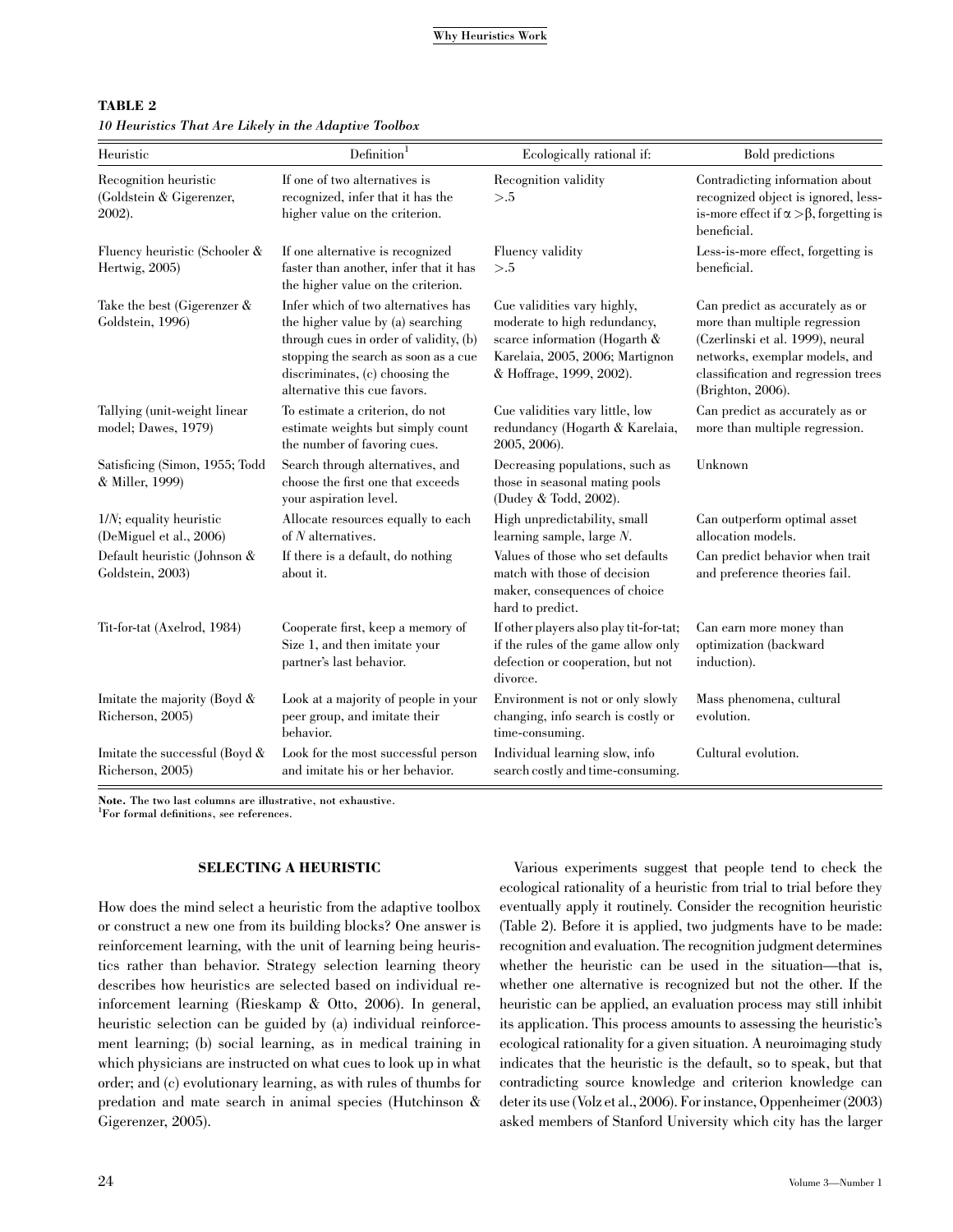#### TABLE 2

10 Heuristics That Are Likely in the Adaptive Toolbox

| Heuristic                                                   | Definition <sup>1</sup>                                                                                                                                                                                                       | Ecologically rational if:                                                                                                                                   | <b>Bold</b> predictions                                                                                                                                                                            |
|-------------------------------------------------------------|-------------------------------------------------------------------------------------------------------------------------------------------------------------------------------------------------------------------------------|-------------------------------------------------------------------------------------------------------------------------------------------------------------|----------------------------------------------------------------------------------------------------------------------------------------------------------------------------------------------------|
| Recognition heuristic<br>(Goldstein & Gigerenzer,<br>2002). | If one of two alternatives is<br>recognized, infer that it has the<br>higher value on the criterion.                                                                                                                          | Recognition validity<br>> 0.5                                                                                                                               | Contradicting information about<br>recognized object is ignored, less-<br>is-more effect if $\alpha > \beta$ , forgetting is<br>beneficial.                                                        |
| Fluency heuristic (Schooler &<br>Hertwig, 2005)             | If one alternative is recognized<br>faster than another, infer that it has<br>the higher value on the criterion.                                                                                                              | Fluency validity<br>> 0.5                                                                                                                                   | Less-is-more effect, forgetting is<br>beneficial.                                                                                                                                                  |
| Take the best (Gigerenzer $\&$<br>Goldstein, 1996)          | Infer which of two alternatives has<br>the higher value by (a) searching<br>through cues in order of validity, (b)<br>stopping the search as soon as a cue<br>discriminates, (c) choosing the<br>alternative this cue favors. | Cue validities vary highly,<br>moderate to high redundancy,<br>scarce information (Hogarth &<br>Karelaia, 2005, 2006; Martignon<br>& Hoffrage, 1999, 2002). | Can predict as accurately as or<br>more than multiple regression<br>(Czerlinski et al. 1999), neural<br>networks, exemplar models, and<br>classification and regression trees<br>(Brighton, 2006). |
| Tallying (unit-weight linear<br>model; Dawes, 1979)         | To estimate a criterion, do not<br>estimate weights but simply count<br>the number of favoring cues.                                                                                                                          | Cue validities vary little, low<br>redundancy (Hogarth & Karelaia,<br>2005, 2006).                                                                          | Can predict as accurately as or<br>more than multiple regression.                                                                                                                                  |
| Satisficing (Simon, 1955; Todd<br>& Miller, 1999)           | Search through alternatives, and<br>choose the first one that exceeds<br>your aspiration level.                                                                                                                               | Decreasing populations, such as<br>those in seasonal mating pools<br>(Dudey & Todd, 2002).                                                                  | Unknown                                                                                                                                                                                            |
| $1/N$ ; equality heuristic<br>(DeMiguel et al., 2006)       | Allocate resources equally to each<br>of $N$ alternatives.                                                                                                                                                                    | High unpredictability, small<br>learning sample, large $N$ .                                                                                                | Can outperform optimal asset<br>allocation models.                                                                                                                                                 |
| Default heuristic (Johnson &<br>Goldstein, 2003)            | If there is a default, do nothing<br>about it.                                                                                                                                                                                | Values of those who set defaults<br>match with those of decision<br>maker, consequences of choice<br>hard to predict.                                       | Can predict behavior when trait<br>and preference theories fail.                                                                                                                                   |
| Tit-for-tat (Axelrod, 1984)                                 | Cooperate first, keep a memory of<br>Size 1, and then imitate your<br>partner's last behavior.                                                                                                                                | If other players also play tit-for-tat;<br>if the rules of the game allow only<br>defection or cooperation, but not<br>divorce.                             | Can earn more money than<br>optimization (backward<br>induction).                                                                                                                                  |
| Imitate the majority (Boyd &<br>Richerson, 2005)            | Look at a majority of people in your<br>peer group, and imitate their<br>behavior.                                                                                                                                            | Environment is not or only slowly<br>changing, info search is costly or<br>time-consuming.                                                                  | Mass phenomena, cultural<br>evolution.                                                                                                                                                             |
| Imitate the successful (Boyd $\&$<br>Richerson, 2005)       | Look for the most successful person<br>and imitate his or her behavior.                                                                                                                                                       | Individual learning slow, info<br>search costly and time-consuming.                                                                                         | Cultural evolution.                                                                                                                                                                                |

Note. The two last columns are illustrative, not exhaustive. <sup>1</sup>

For formal definitions, see references.

## SELECTING A HEURISTIC

How does the mind select a heuristic from the adaptive toolbox or construct a new one from its building blocks? One answer is reinforcement learning, with the unit of learning being heuristics rather than behavior. Strategy selection learning theory describes how heuristics are selected based on individual reinforcement learning (Rieskamp & Otto, 2006). In general, heuristic selection can be guided by (a) individual reinforcement learning; (b) social learning, as in medical training in which physicians are instructed on what cues to look up in what order; and (c) evolutionary learning, as with rules of thumbs for predation and mate search in animal species (Hutchinson & Gigerenzer, 2005).

Various experiments suggest that people tend to check the ecological rationality of a heuristic from trial to trial before they eventually apply it routinely. Consider the recognition heuristic (Table 2). Before it is applied, two judgments have to be made: recognition and evaluation. The recognition judgment determines whether the heuristic can be used in the situation—that is, whether one alternative is recognized but not the other. If the heuristic can be applied, an evaluation process may still inhibit its application. This process amounts to assessing the heuristic's ecological rationality for a given situation. A neuroimaging study indicates that the heuristic is the default, so to speak, but that contradicting source knowledge and criterion knowledge can deter its use (Volz et al., 2006). For instance, Oppenheimer (2003) asked members of Stanford University which city has the larger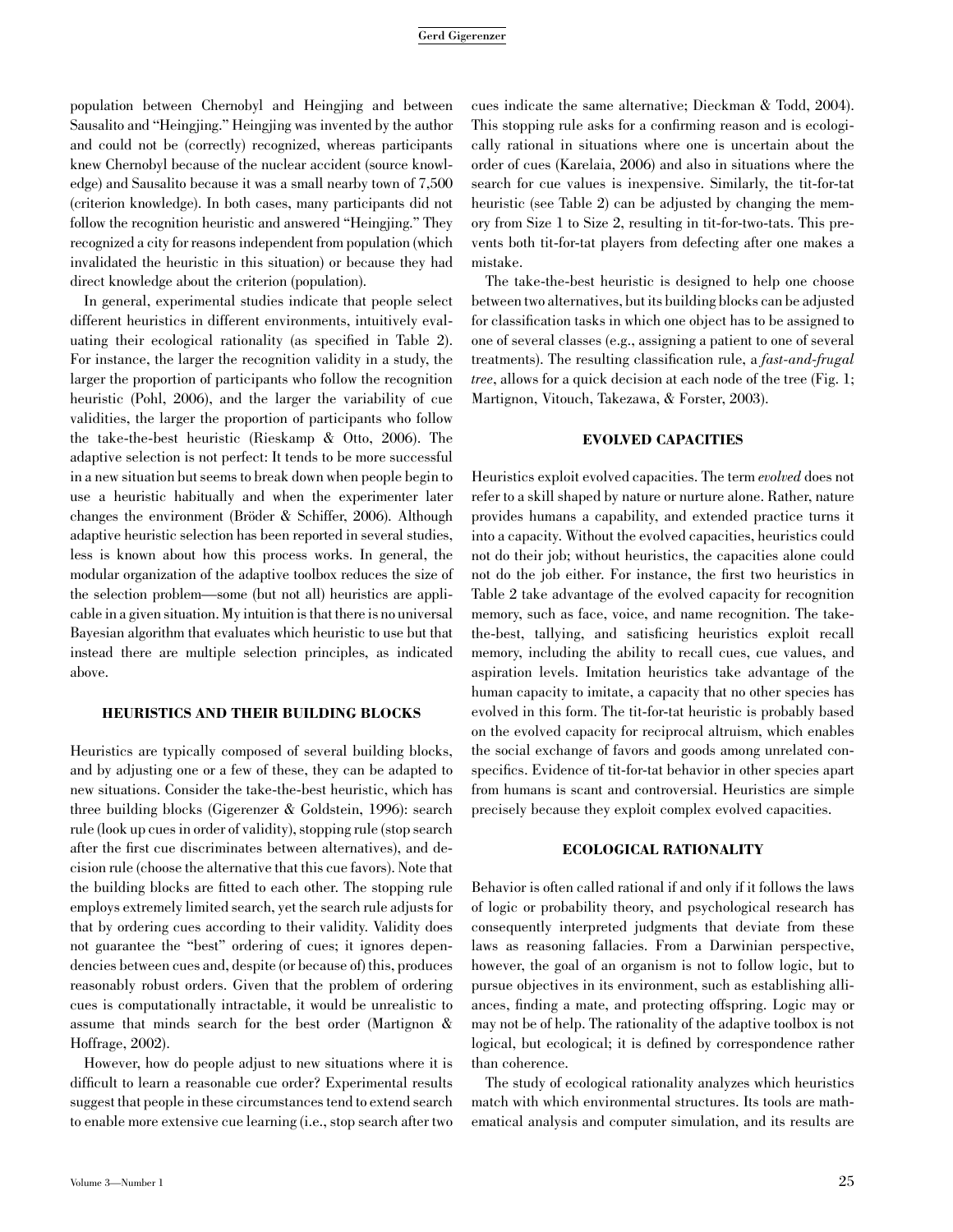population between Chernobyl and Heingjing and between Sausalito and ''Heingjing.'' Heingjing was invented by the author and could not be (correctly) recognized, whereas participants knew Chernobyl because of the nuclear accident (source knowledge) and Sausalito because it was a small nearby town of 7,500 (criterion knowledge). In both cases, many participants did not follow the recognition heuristic and answered ''Heingjing.'' They recognized a city for reasons independent from population (which invalidated the heuristic in this situation) or because they had direct knowledge about the criterion (population).

In general, experimental studies indicate that people select different heuristics in different environments, intuitively evaluating their ecological rationality (as specified in Table 2). For instance, the larger the recognition validity in a study, the larger the proportion of participants who follow the recognition heuristic (Pohl, 2006), and the larger the variability of cue validities, the larger the proportion of participants who follow the take-the-best heuristic (Rieskamp & Otto, 2006). The adaptive selection is not perfect: It tends to be more successful in a new situation but seems to break down when people begin to use a heuristic habitually and when the experimenter later changes the environment (Bröder & Schiffer, 2006). Although adaptive heuristic selection has been reported in several studies, less is known about how this process works. In general, the modular organization of the adaptive toolbox reduces the size of the selection problem—some (but not all) heuristics are applicable in a given situation. My intuition is that there is no universal Bayesian algorithm that evaluates which heuristic to use but that instead there are multiple selection principles, as indicated above.

## HEURISTICS AND THEIR BUILDING BLOCKS

Heuristics are typically composed of several building blocks, and by adjusting one or a few of these, they can be adapted to new situations. Consider the take-the-best heuristic, which has three building blocks (Gigerenzer & Goldstein, 1996): search rule (look up cues in order of validity), stopping rule (stop search after the first cue discriminates between alternatives), and decision rule (choose the alternative that this cue favors). Note that the building blocks are fitted to each other. The stopping rule employs extremely limited search, yet the search rule adjusts for that by ordering cues according to their validity. Validity does not guarantee the ''best'' ordering of cues; it ignores dependencies between cues and, despite (or because of) this, produces reasonably robust orders. Given that the problem of ordering cues is computationally intractable, it would be unrealistic to assume that minds search for the best order (Martignon & Hoffrage, 2002).

However, how do people adjust to new situations where it is difficult to learn a reasonable cue order? Experimental results suggest that people in these circumstances tend to extend search to enable more extensive cue learning (i.e., stop search after two cues indicate the same alternative; Dieckman & Todd, 2004). This stopping rule asks for a confirming reason and is ecologically rational in situations where one is uncertain about the order of cues (Karelaia, 2006) and also in situations where the search for cue values is inexpensive. Similarly, the tit-for-tat heuristic (see Table 2) can be adjusted by changing the memory from Size 1 to Size 2, resulting in tit-for-two-tats. This prevents both tit-for-tat players from defecting after one makes a mistake.

The take-the-best heuristic is designed to help one choose between two alternatives, but its building blocks can be adjusted for classification tasks in which one object has to be assigned to one of several classes (e.g., assigning a patient to one of several treatments). The resulting classification rule, a fast-and-frugal tree, allows for a quick decision at each node of the tree (Fig. 1; Martignon, Vitouch, Takezawa, & Forster, 2003).

## EVOLVED CAPACITIES

Heuristics exploit evolved capacities. The term evolved does not refer to a skill shaped by nature or nurture alone. Rather, nature provides humans a capability, and extended practice turns it into a capacity. Without the evolved capacities, heuristics could not do their job; without heuristics, the capacities alone could not do the job either. For instance, the first two heuristics in Table 2 take advantage of the evolved capacity for recognition memory, such as face, voice, and name recognition. The takethe-best, tallying, and satisficing heuristics exploit recall memory, including the ability to recall cues, cue values, and aspiration levels. Imitation heuristics take advantage of the human capacity to imitate, a capacity that no other species has evolved in this form. The tit-for-tat heuristic is probably based on the evolved capacity for reciprocal altruism, which enables the social exchange of favors and goods among unrelated conspecifics. Evidence of tit-for-tat behavior in other species apart from humans is scant and controversial. Heuristics are simple precisely because they exploit complex evolved capacities.

## ECOLOGICAL RATIONALITY

Behavior is often called rational if and only if it follows the laws of logic or probability theory, and psychological research has consequently interpreted judgments that deviate from these laws as reasoning fallacies. From a Darwinian perspective, however, the goal of an organism is not to follow logic, but to pursue objectives in its environment, such as establishing alliances, finding a mate, and protecting offspring. Logic may or may not be of help. The rationality of the adaptive toolbox is not logical, but ecological; it is defined by correspondence rather than coherence.

The study of ecological rationality analyzes which heuristics match with which environmental structures. Its tools are mathematical analysis and computer simulation, and its results are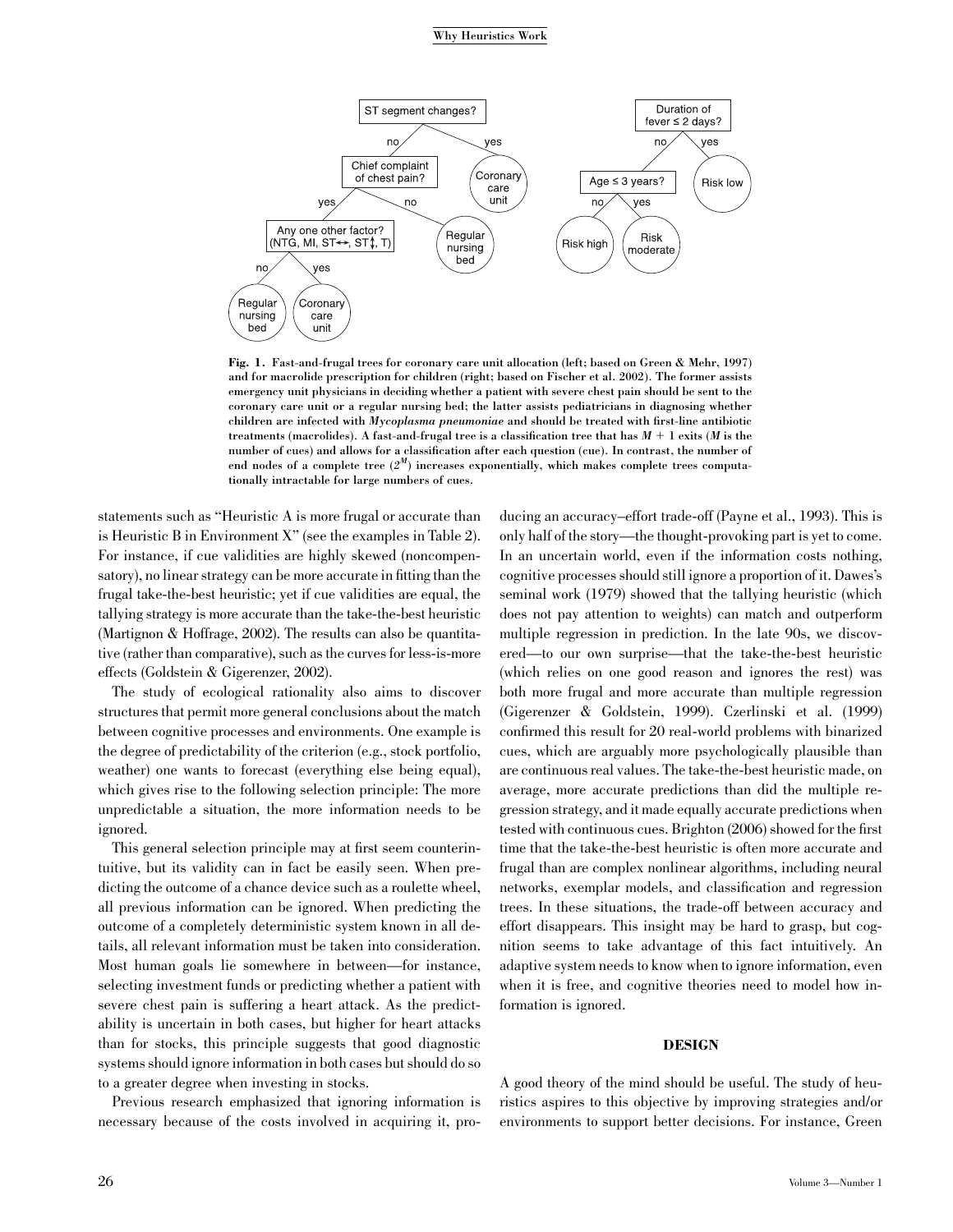## Why Heuristics Work



Fig. 1. Fast-and-frugal trees for coronary care unit allocation (left; based on Green & Mehr, 1997) and for macrolide prescription for children (right; based on Fischer et al. 2002). The former assists emergency unit physicians in deciding whether a patient with severe chest pain should be sent to the coronary care unit or a regular nursing bed; the latter assists pediatricians in diagnosing whether children are infected with Mycoplasma pneumoniae and should be treated with first-line antibiotic treatments (macrolides). A fast-and-frugal tree is a classification tree that has  $M + 1$  exits (M is the number of cues) and allows for a classification after each question (cue). In contrast, the number of end nodes of a complete tree  $(2^M)$  increases exponentially, which makes complete trees computationally intractable for large numbers of cues.

statements such as ''Heuristic A is more frugal or accurate than is Heuristic B in Environment X'' (see the examples in Table 2). For instance, if cue validities are highly skewed (noncompensatory), no linear strategy can be more accurate in fitting than the frugal take-the-best heuristic; yet if cue validities are equal, the tallying strategy is more accurate than the take-the-best heuristic (Martignon & Hoffrage, 2002). The results can also be quantitative (rather than comparative), such as the curves for less-is-more effects (Goldstein & Gigerenzer, 2002).

The study of ecological rationality also aims to discover structures that permit more general conclusions about the match between cognitive processes and environments. One example is the degree of predictability of the criterion (e.g., stock portfolio, weather) one wants to forecast (everything else being equal), which gives rise to the following selection principle: The more unpredictable a situation, the more information needs to be ignored.

This general selection principle may at first seem counterintuitive, but its validity can in fact be easily seen. When predicting the outcome of a chance device such as a roulette wheel, all previous information can be ignored. When predicting the outcome of a completely deterministic system known in all details, all relevant information must be taken into consideration. Most human goals lie somewhere in between—for instance, selecting investment funds or predicting whether a patient with severe chest pain is suffering a heart attack. As the predictability is uncertain in both cases, but higher for heart attacks than for stocks, this principle suggests that good diagnostic systems should ignore information in both cases but should do so to a greater degree when investing in stocks.

Previous research emphasized that ignoring information is necessary because of the costs involved in acquiring it, pro-

ducing an accuracy–effort trade-off (Payne et al., 1993). This is only half of the story—the thought-provoking part is yet to come. In an uncertain world, even if the information costs nothing, cognitive processes should still ignore a proportion of it. Dawes's seminal work (1979) showed that the tallying heuristic (which does not pay attention to weights) can match and outperform multiple regression in prediction. In the late 90s, we discovered—to our own surprise—that the take-the-best heuristic (which relies on one good reason and ignores the rest) was both more frugal and more accurate than multiple regression (Gigerenzer & Goldstein, 1999). Czerlinski et al. (1999) confirmed this result for 20 real-world problems with binarized cues, which are arguably more psychologically plausible than are continuous real values. The take-the-best heuristic made, on average, more accurate predictions than did the multiple regression strategy, and it made equally accurate predictions when tested with continuous cues. Brighton (2006) showed for the first time that the take-the-best heuristic is often more accurate and frugal than are complex nonlinear algorithms, including neural networks, exemplar models, and classification and regression trees. In these situations, the trade-off between accuracy and effort disappears. This insight may be hard to grasp, but cognition seems to take advantage of this fact intuitively. An adaptive system needs to know when to ignore information, even when it is free, and cognitive theories need to model how information is ignored.

# DESIGN

A good theory of the mind should be useful. The study of heuristics aspires to this objective by improving strategies and/or environments to support better decisions. For instance, Green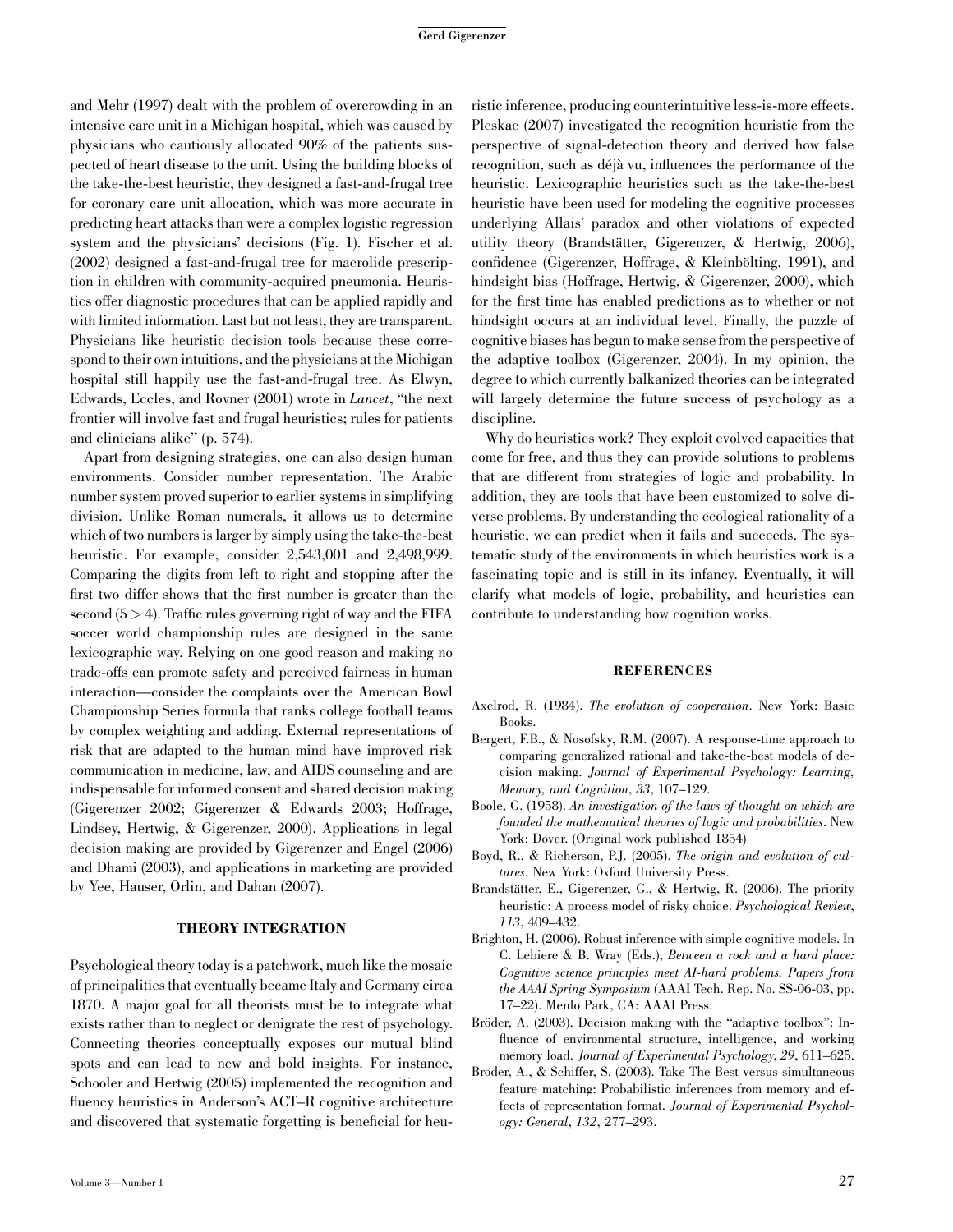#### Gerd Gigerenzer

and Mehr (1997) dealt with the problem of overcrowding in an intensive care unit in a Michigan hospital, which was caused by physicians who cautiously allocated 90% of the patients suspected of heart disease to the unit. Using the building blocks of the take-the-best heuristic, they designed a fast-and-frugal tree for coronary care unit allocation, which was more accurate in predicting heart attacks than were a complex logistic regression system and the physicians' decisions (Fig. 1). Fischer et al. (2002) designed a fast-and-frugal tree for macrolide prescription in children with community-acquired pneumonia. Heuristics offer diagnostic procedures that can be applied rapidly and with limited information. Last but not least, they are transparent. Physicians like heuristic decision tools because these correspond to their own intuitions, and the physicians at the Michigan hospital still happily use the fast-and-frugal tree. As Elwyn, Edwards, Eccles, and Rovner (2001) wrote in Lancet, ''the next frontier will involve fast and frugal heuristics; rules for patients and clinicians alike'' (p. 574).

Apart from designing strategies, one can also design human environments. Consider number representation. The Arabic number system proved superior to earlier systems in simplifying division. Unlike Roman numerals, it allows us to determine which of two numbers is larger by simply using the take-the-best heuristic. For example, consider 2,543,001 and 2,498,999. Comparing the digits from left to right and stopping after the first two differ shows that the first number is greater than the second  $(5 > 4)$ . Traffic rules governing right of way and the FIFA soccer world championship rules are designed in the same lexicographic way. Relying on one good reason and making no trade-offs can promote safety and perceived fairness in human interaction—consider the complaints over the American Bowl Championship Series formula that ranks college football teams by complex weighting and adding. External representations of risk that are adapted to the human mind have improved risk communication in medicine, law, and AIDS counseling and are indispensable for informed consent and shared decision making (Gigerenzer 2002; Gigerenzer & Edwards 2003; Hoffrage, Lindsey, Hertwig, & Gigerenzer, 2000). Applications in legal decision making are provided by Gigerenzer and Engel (2006) and Dhami (2003), and applications in marketing are provided by Yee, Hauser, Orlin, and Dahan (2007).

## THEORY INTEGRATION

Psychological theory today is a patchwork, much like the mosaic of principalities that eventually became Italy and Germany circa 1870. A major goal for all theorists must be to integrate what exists rather than to neglect or denigrate the rest of psychology. Connecting theories conceptually exposes our mutual blind spots and can lead to new and bold insights. For instance, Schooler and Hertwig (2005) implemented the recognition and fluency heuristics in Anderson's ACT–R cognitive architecture and discovered that systematic forgetting is beneficial for heuristic inference, producing counterintuitive less-is-more effects. Pleskac (2007) investigated the recognition heuristic from the perspective of signal-detection theory and derived how false recognition, such as déjà vu, influences the performance of the heuristic. Lexicographic heuristics such as the take-the-best heuristic have been used for modeling the cognitive processes underlying Allais' paradox and other violations of expected utility theory (Brandstätter, Gigerenzer, & Hertwig, 2006), confidence (Gigerenzer, Hoffrage,  $\&$  Kleinbölting, 1991), and hindsight bias (Hoffrage, Hertwig, & Gigerenzer, 2000), which for the first time has enabled predictions as to whether or not hindsight occurs at an individual level. Finally, the puzzle of cognitive biases has begun to make sense from the perspective of the adaptive toolbox (Gigerenzer, 2004). In my opinion, the degree to which currently balkanized theories can be integrated will largely determine the future success of psychology as a discipline.

Why do heuristics work? They exploit evolved capacities that come for free, and thus they can provide solutions to problems that are different from strategies of logic and probability. In addition, they are tools that have been customized to solve diverse problems. By understanding the ecological rationality of a heuristic, we can predict when it fails and succeeds. The systematic study of the environments in which heuristics work is a fascinating topic and is still in its infancy. Eventually, it will clarify what models of logic, probability, and heuristics can contribute to understanding how cognition works.

## **REFERENCES**

- Axelrod, R. (1984). The evolution of cooperation. New York: Basic Books.
- Bergert, F.B., & Nosofsky, R.M. (2007). A response-time approach to comparing generalized rational and take-the-best models of decision making. Journal of Experimental Psychology: Learning, Memory, and Cognition, 33, 107–129.
- Boole, G. (1958). An investigation of the laws of thought on which are founded the mathematical theories of logic and probabilities. New York: Dover. (Original work published 1854)
- Boyd, R., & Richerson, P.J. (2005). The origin and evolution of cultures. New York: Oxford University Press.
- Brandstätter, E., Gigerenzer, G., & Hertwig, R. (2006). The priority heuristic: A process model of risky choice. Psychological Review, 113, 409–432.
- Brighton, H. (2006). Robust inference with simple cognitive models. In C. Lebiere & B. Wray (Eds.), Between a rock and a hard place: Cognitive science principles meet AI-hard problems. Papers from the AAAI Spring Symposium (AAAI Tech. Rep. No. SS-06-03, pp. 17–22). Menlo Park, CA: AAAI Press.
- Bröder, A. (2003). Decision making with the "adaptive toolbox": Influence of environmental structure, intelligence, and working memory load. *Journal of Experimental Psychology*, 29, 611–625.
- Bröder, A., & Schiffer, S. (2003). Take The Best versus simultaneous feature matching: Probabilistic inferences from memory and effects of representation format. Journal of Experimental Psychology: General, 132, 277–293.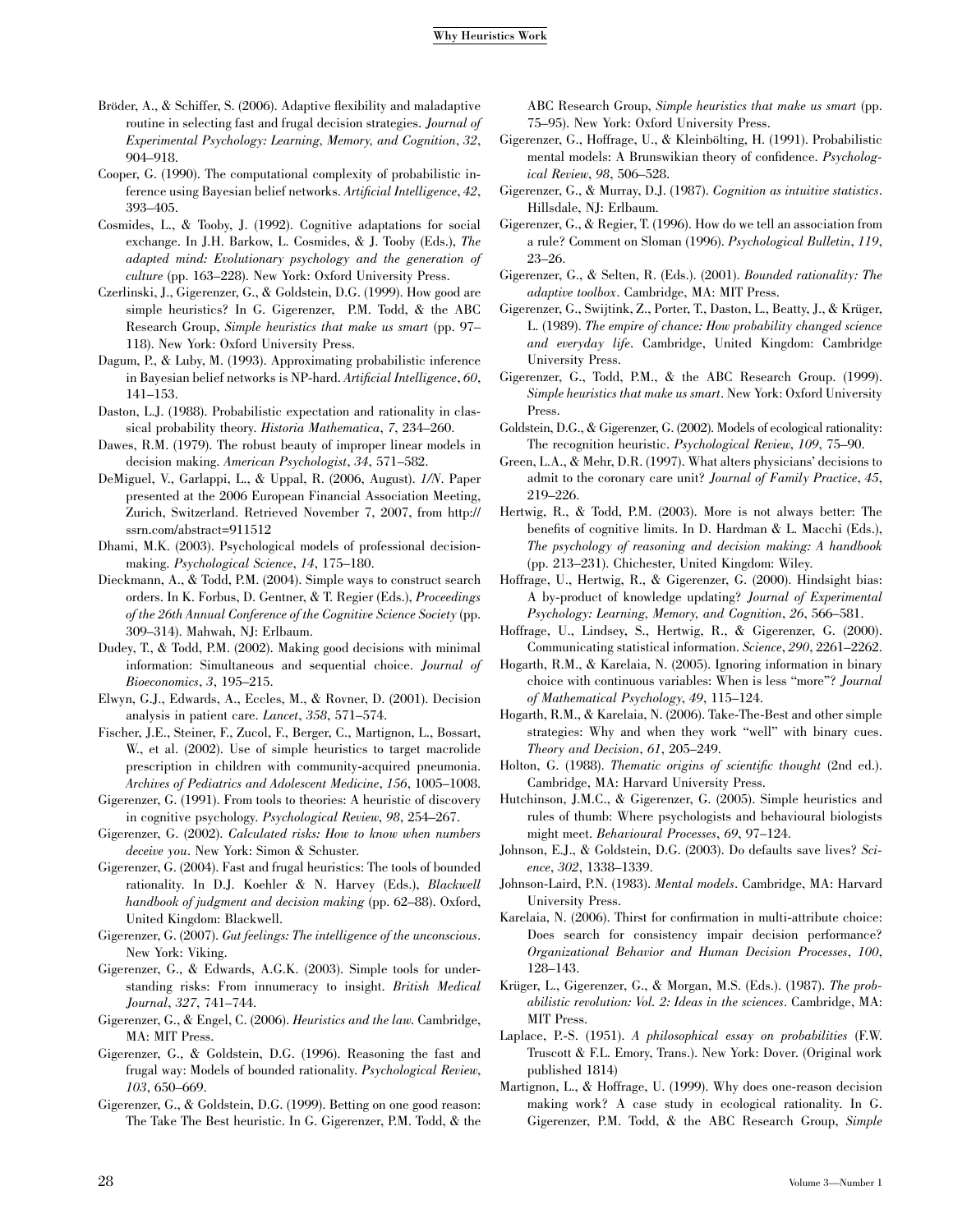- Bröder, A., & Schiffer, S. (2006). Adaptive flexibility and maladaptive routine in selecting fast and frugal decision strategies. Journal of Experimental Psychology: Learning, Memory, and Cognition, 32, 904–918.
- Cooper, G. (1990). The computational complexity of probabilistic inference using Bayesian belief networks. Artificial Intelligence, 42, 393–405.
- Cosmides, L., & Tooby, J. (1992). Cognitive adaptations for social exchange. In J.H. Barkow, L. Cosmides, & J. Tooby (Eds.), The adapted mind: Evolutionary psychology and the generation of culture (pp. 163–228). New York: Oxford University Press.
- Czerlinski, J., Gigerenzer, G., & Goldstein, D.G. (1999). How good are simple heuristics? In G. Gigerenzer, P.M. Todd, & the ABC Research Group, Simple heuristics that make us smart (pp. 97– 118). New York: Oxford University Press.
- Dagum, P., & Luby, M. (1993). Approximating probabilistic inference in Bayesian belief networks is NP-hard. Artificial Intelligence, 60, 141–153.
- Daston, L.J. (1988). Probabilistic expectation and rationality in classical probability theory. Historia Mathematica, 7, 234–260.
- Dawes, R.M. (1979). The robust beauty of improper linear models in decision making. American Psychologist, 34, 571–582.
- DeMiguel, V., Garlappi, L., & Uppal, R. (2006, August). 1/N. Paper presented at the 2006 European Financial Association Meeting, Zurich, Switzerland. Retrieved November 7, 2007, from http:// ssrn.com/abstract=911512
- Dhami, M.K. (2003). Psychological models of professional decisionmaking. Psychological Science, 14, 175–180.
- Dieckmann, A., & Todd, P.M. (2004). Simple ways to construct search orders. In K. Forbus, D. Gentner, & T. Regier (Eds.), Proceedings of the 26th Annual Conference of the Cognitive Science Society (pp. 309–314). Mahwah, NJ: Erlbaum.
- Dudey, T., & Todd, P.M. (2002). Making good decisions with minimal information: Simultaneous and sequential choice. Journal of Bioeconomics, 3, 195–215.
- Elwyn, G.J., Edwards, A., Eccles, M., & Rovner, D. (2001). Decision analysis in patient care. Lancet, 358, 571–574.
- Fischer, J.E., Steiner, F., Zucol, F., Berger, C., Martignon, L., Bossart, W., et al. (2002). Use of simple heuristics to target macrolide prescription in children with community-acquired pneumonia. Archives of Pediatrics and Adolescent Medicine, 156, 1005–1008.
- Gigerenzer, G. (1991). From tools to theories: A heuristic of discovery in cognitive psychology. Psychological Review, 98, 254–267.
- Gigerenzer, G. (2002). Calculated risks: How to know when numbers deceive you. New York: Simon & Schuster.
- Gigerenzer, G. (2004). Fast and frugal heuristics: The tools of bounded rationality. In D.J. Koehler & N. Harvey (Eds.), Blackwell handbook of judgment and decision making (pp. 62–88). Oxford, United Kingdom: Blackwell.
- Gigerenzer, G. (2007). Gut feelings: The intelligence of the unconscious. New York: Viking.
- Gigerenzer, G., & Edwards, A.G.K. (2003). Simple tools for understanding risks: From innumeracy to insight. British Medical Journal, 327, 741–744.
- Gigerenzer, G., & Engel, C. (2006). Heuristics and the law. Cambridge, MA: MIT Press.
- Gigerenzer, G., & Goldstein, D.G. (1996). Reasoning the fast and frugal way: Models of bounded rationality. Psychological Review, 103, 650–669.
- Gigerenzer, G., & Goldstein, D.G. (1999). Betting on one good reason: The Take The Best heuristic. In G. Gigerenzer, P.M. Todd, & the

ABC Research Group, Simple heuristics that make us smart (pp. 75–95). New York: Oxford University Press.

- Gigerenzer, G., Hoffrage, U., & Kleinbölting, H. (1991). Probabilistic mental models: A Brunswikian theory of confidence. Psychological Review, 98, 506–528.
- Gigerenzer, G., & Murray, D.J. (1987). Cognition as intuitive statistics. Hillsdale, NJ: Erlbaum.
- Gigerenzer, G., & Regier, T. (1996). How do we tell an association from a rule? Comment on Sloman (1996). Psychological Bulletin, 119, 23–26.
- Gigerenzer, G., & Selten, R. (Eds.). (2001). Bounded rationality: The adaptive toolbox. Cambridge, MA: MIT Press.
- Gigerenzer, G., Swijtink, Z., Porter, T., Daston, L., Beatty, J., & Krüger, L. (1989). The empire of chance: How probability changed science and everyday life. Cambridge, United Kingdom: Cambridge University Press.
- Gigerenzer, G., Todd, P.M., & the ABC Research Group. (1999). Simple heuristics that make us smart. New York: Oxford University Press.
- Goldstein, D.G., & Gigerenzer, G. (2002). Models of ecological rationality: The recognition heuristic. Psychological Review, 109, 75–90.
- Green, L.A., & Mehr, D.R. (1997). What alters physicians' decisions to admit to the coronary care unit? Journal of Family Practice, 45, 219–226.
- Hertwig, R., & Todd, P.M. (2003). More is not always better: The benefits of cognitive limits. In D. Hardman & L. Macchi (Eds.), The psychology of reasoning and decision making: A handbook (pp. 213–231). Chichester, United Kingdom: Wiley.
- Hoffrage, U., Hertwig, R., & Gigerenzer, G. (2000). Hindsight bias: A by-product of knowledge updating? Journal of Experimental Psychology: Learning, Memory, and Cognition, 26, 566–581.
- Hoffrage, U., Lindsey, S., Hertwig, R., & Gigerenzer, G. (2000). Communicating statistical information. Science, 290, 2261–2262.
- Hogarth, R.M., & Karelaia, N. (2005). Ignoring information in binary choice with continuous variables: When is less ''more''? Journal of Mathematical Psychology, 49, 115–124.
- Hogarth, R.M., & Karelaia, N. (2006). Take-The-Best and other simple strategies: Why and when they work "well" with binary cues. Theory and Decision, 61, 205–249.
- Holton, G. (1988). Thematic origins of scientific thought (2nd ed.). Cambridge, MA: Harvard University Press.
- Hutchinson, J.M.C., & Gigerenzer, G. (2005). Simple heuristics and rules of thumb: Where psychologists and behavioural biologists might meet. Behavioural Processes, 69, 97–124.
- Johnson, E.J., & Goldstein, D.G. (2003). Do defaults save lives? Science, 302, 1338–1339.
- Johnson-Laird, P.N. (1983). Mental models. Cambridge, MA: Harvard University Press.
- Karelaia, N. (2006). Thirst for confirmation in multi-attribute choice: Does search for consistency impair decision performance? Organizational Behavior and Human Decision Processes, 100, 128–143.
- Krüger, L., Gigerenzer, G., & Morgan, M.S. (Eds.). (1987). The probabilistic revolution: Vol. 2: Ideas in the sciences. Cambridge, MA: MIT Press.
- Laplace, P.-S. (1951). A philosophical essay on probabilities (F.W. Truscott & F.L. Emory, Trans.). New York: Dover. (Original work published 1814)
- Martignon, L., & Hoffrage, U. (1999). Why does one-reason decision making work? A case study in ecological rationality. In G. Gigerenzer, P.M. Todd, & the ABC Research Group, Simple